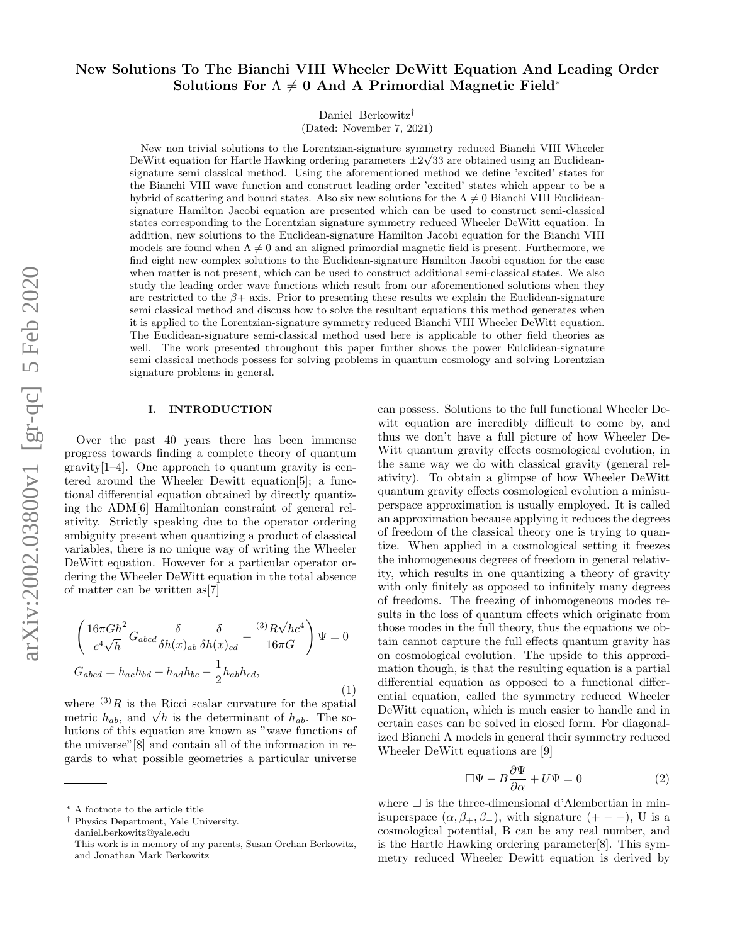# New Solutions To The Bianchi VIII Wheeler DeWitt Equation And Leading Order Solutions For  $\Lambda \neq 0$  And A Primordial Magnetic Field<sup>\*</sup>

Daniel Berkowitz†

(Dated: November 7, 2021)

New non trivial solutions to the Lorentzian-signature symmetry reduced Bianchi VIII Wheeler DeWitt equation for Hartle Hawking ordering parameters  $\pm 2\sqrt{33}$  are obtained using an Euclideansignature semi classical method. Using the aforementioned method we define 'excited' states for the Bianchi VIII wave function and construct leading order 'excited' states which appear to be a hybrid of scattering and bound states. Also six new solutions for the  $\Lambda \neq 0$  Bianchi VIII Euclideansignature Hamilton Jacobi equation are presented which can be used to construct semi-classical states corresponding to the Lorentzian signature symmetry reduced Wheeler DeWitt equation. In addition, new solutions to the Euclidean-signature Hamilton Jacobi equation for the Bianchi VIII models are found when  $\Lambda \neq 0$  and an aligned primordial magnetic field is present. Furthermore, we find eight new complex solutions to the Euclidean-signature Hamilton Jacobi equation for the case when matter is not present, which can be used to construct additional semi-classical states. We also study the leading order wave functions which result from our aforementioned solutions when they are restricted to the  $\beta$ + axis. Prior to presenting these results we explain the Euclidean-signature semi classical method and discuss how to solve the resultant equations this method generates when it is applied to the Lorentzian-signature symmetry reduced Bianchi VIII Wheeler DeWitt equation. The Euclidean-signature semi-classical method used here is applicable to other field theories as well. The work presented throughout this paper further shows the power Eulclidean-signature semi classical methods possess for solving problems in quantum cosmology and solving Lorentzian signature problems in general.

## I. INTRODUCTION

Over the past 40 years there has been immense progress towards finding a complete theory of quantum  $\gamma$  gravity<sup>[1–4]</sup>. One approach to quantum gravity is centered around the Wheeler Dewitt equation[5]; a functional differential equation obtained by directly quantizing the ADM[6] Hamiltonian constraint of general relativity. Strictly speaking due to the operator ordering ambiguity present when quantizing a product of classical variables, there is no unique way of writing the Wheeler DeWitt equation. However for a particular operator ordering the Wheeler DeWitt equation in the total absence of matter can be written as[7]

$$
\left(\frac{16\pi G\hbar^2}{c^4\sqrt{h}}G_{abcd}\frac{\delta}{\delta h(x)_{ab}}\frac{\delta}{\delta h(x)_{cd}}+\frac{(3)R\sqrt{h}c^4}{16\pi G}\right)\Psi=0
$$
  

$$
G_{abcd}=h_{ac}h_{bd}+h_{ad}h_{bc}-\frac{1}{2}h_{ab}h_{cd},
$$

$$
(1)
$$

where  $(3)$ R is the Ricci scalar curvature for the spatial where  $\mathcal{F}_{R}$  is the Kicci scalar curvature for the spatial metric  $h_{ab}$ , and  $\sqrt{h}$  is the determinant of  $h_{ab}$ . The solutions of this equation are known as "wave functions of the universe"[8] and contain all of the information in regards to what possible geometries a particular universe

† Physics Department, Yale University. daniel.berkowitz@yale.edu

can possess. Solutions to the full functional Wheeler Dewitt equation are incredibly difficult to come by, and thus we don't have a full picture of how Wheeler De-Witt quantum gravity effects cosmological evolution, in the same way we do with classical gravity (general relativity). To obtain a glimpse of how Wheeler DeWitt quantum gravity effects cosmological evolution a minisuperspace approximation is usually employed. It is called an approximation because applying it reduces the degrees of freedom of the classical theory one is trying to quantize. When applied in a cosmological setting it freezes the inhomogeneous degrees of freedom in general relativity, which results in one quantizing a theory of gravity with only finitely as opposed to infinitely many degrees of freedoms. The freezing of inhomogeneous modes results in the loss of quantum effects which originate from those modes in the full theory, thus the equations we obtain cannot capture the full effects quantum gravity has on cosmological evolution. The upside to this approximation though, is that the resulting equation is a partial differential equation as opposed to a functional differential equation, called the symmetry reduced Wheeler DeWitt equation, which is much easier to handle and in certain cases can be solved in closed form. For diagonalized Bianchi A models in general their symmetry reduced Wheeler DeWitt equations are [9]

$$
\Box \Psi - B \frac{\partial \Psi}{\partial \alpha} + U \Psi = 0 \tag{2}
$$

where  $\Box$  is the three-dimensional d'Alembertian in minisuperspace  $(\alpha, \beta_+, \beta_-)$ , with signature  $(+ - -)$ , U is a cosmological potential, B can be any real number, and is the Hartle Hawking ordering parameter[8]. This symmetry reduced Wheeler Dewitt equation is derived by

<sup>∗</sup> A footnote to the article title

This work is in memory of my parents, Susan Orchan Berkowitz, and Jonathan Mark Berkowitz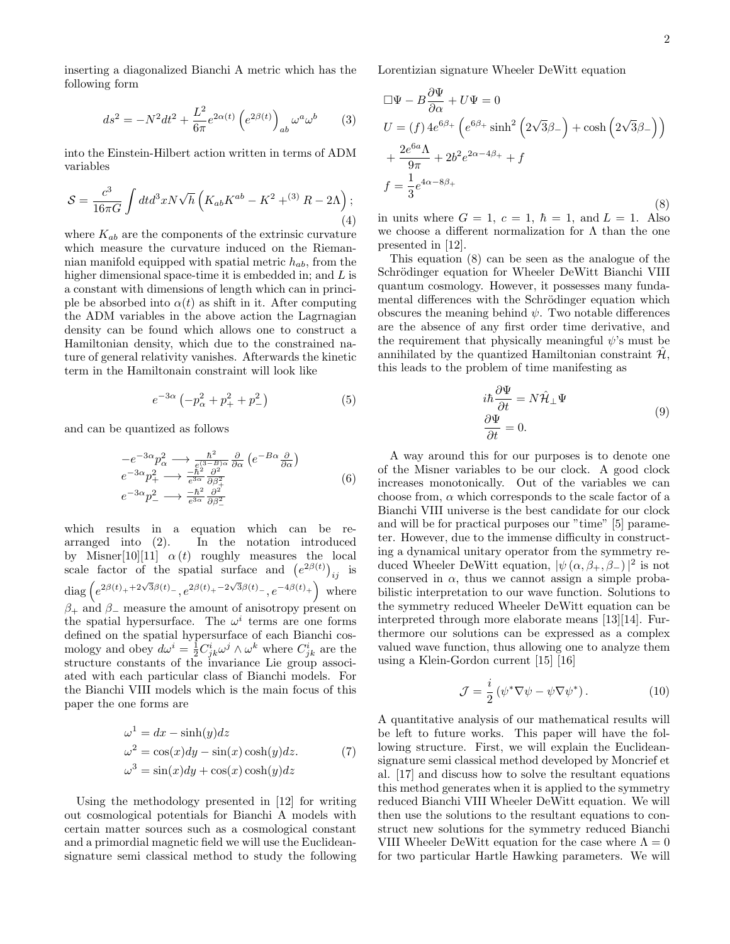inserting a diagonalized Bianchi A metric which has the following form

$$
ds^{2} = -N^{2}dt^{2} + \frac{L^{2}}{6\pi}e^{2\alpha(t)}\left(e^{2\beta(t)}\right)_{ab}\omega^{a}\omega^{b}
$$
 (3)

into the Einstein-Hilbert action written in terms of ADM variables

$$
S = \frac{c^3}{16\pi G} \int dt d^3x N \sqrt{h} \left( K_{ab} K^{ab} - K^2 + {}^{(3)}R - 2\Lambda \right); \tag{4}
$$

where  $K_{ab}$  are the components of the extrinsic curvature which measure the curvature induced on the Riemannian manifold equipped with spatial metric  $h_{ab}$ , from the higher dimensional space-time it is embedded in; and  $L$  is a constant with dimensions of length which can in principle be absorbed into  $\alpha(t)$  as shift in it. After computing the ADM variables in the above action the Lagrnagian density can be found which allows one to construct a Hamiltonian density, which due to the constrained nature of general relativity vanishes. Afterwards the kinetic term in the Hamiltonain constraint will look like

$$
e^{-3\alpha} \left( -p_{\alpha}^2 + p_+^2 + p_-^2 \right) \tag{5}
$$

and can be quantized as follows

$$
\begin{array}{l} -e^{-3\alpha}p_{\alpha}^{2} \longrightarrow \frac{\hbar^{2}}{e^{(3-B)\alpha}} \frac{\partial}{\partial \alpha} \left( e^{-B\alpha} \frac{\partial}{\partial \alpha} \right) \\ e^{-3\alpha}p_{+}^{2} \longrightarrow \frac{-\hbar^{2}}{e^{3\alpha}} \frac{\partial^{2}}{\partial \beta_{+}^{2}} \\ e^{-3\alpha}p_{-}^{2} \longrightarrow \frac{-\hbar^{2}}{e^{3\alpha}} \frac{\partial^{2}}{\partial \beta_{-}^{2}} \end{array} \tag{6}
$$

which results in a equation which can be rearranged into (2). In the notation introduced by Misner[10][11]  $\alpha(t)$  roughly measures the local scale factor of the spatial surface and  $(e^{2\beta(t)})_{ij}$  is  $\text{diag}\left(e^{2\beta(t)_++2\sqrt{3}\beta(t)_-},e^{2\beta(t)_++2\sqrt{3}\beta(t)_-},e^{-4\beta(t)_+}\right)$  where  $\beta_+$  and  $\beta_-$  measure the amount of anisotropy present on the spatial hypersurface. The  $\omega^i$  terms are one forms defined on the spatial hypersurface of each Bianchi cosmology and obey  $d\omega^i = \frac{1}{2}C^i_{jk}\omega^j \wedge \omega^k$  where  $C^i_{jk}$  are the structure constants of the invariance Lie group associated with each particular class of Bianchi models. For the Bianchi VIII models which is the main focus of this paper the one forms are

$$
\omega^{1} = dx - \sinh(y)dz
$$
  
\n
$$
\omega^{2} = \cos(x)dy - \sin(x)\cosh(y)dz.
$$
 (7)  
\n
$$
\omega^{3} = \sin(x)dy + \cos(x)\cosh(y)dz
$$

Using the methodology presented in [12] for writing out cosmological potentials for Bianchi A models with certain matter sources such as a cosmological constant and a primordial magnetic field we will use the Euclideansignature semi classical method to study the following Lorentizian signature Wheeler DeWitt equation

$$
\Box \Psi - B \frac{\partial \Psi}{\partial \alpha} + U \Psi = 0
$$
  
\n
$$
U = (f) 4e^{6\beta_+} \left( e^{6\beta_+} \sinh^2 \left( 2\sqrt{3}\beta_- \right) + \cosh \left( 2\sqrt{3}\beta_- \right) \right)
$$
  
\n
$$
+ \frac{2e^{6a}\Lambda}{9\pi} + 2b^2 e^{2\alpha - 4\beta_+} + f
$$
  
\n
$$
f = \frac{1}{3} e^{4\alpha - 8\beta_+}
$$
\n(8)

in units where  $G = 1$ ,  $c = 1$ ,  $\hbar = 1$ , and  $L = 1$ . Also we choose a different normalization for  $\Lambda$  than the one presented in [12].

This equation (8) can be seen as the analogue of the Schrödinger equation for Wheeler DeWitt Bianchi VIII quantum cosmology. However, it possesses many fundamental differences with the Schrödinger equation which obscures the meaning behind  $\psi$ . Two notable differences are the absence of any first order time derivative, and the requirement that physically meaningful  $\psi$ 's must be annihilated by the quantized Hamiltonian constraint  $\mathcal{H}$ , this leads to the problem of time manifesting as

$$
i\hbar \frac{\partial \Psi}{\partial t} = N \hat{\mathcal{H}}_{\perp} \Psi
$$

$$
\frac{\partial \Psi}{\partial t} = 0.
$$
 (9)

A way around this for our purposes is to denote one of the Misner variables to be our clock. A good clock increases monotonically. Out of the variables we can choose from,  $\alpha$  which corresponds to the scale factor of a Bianchi VIII universe is the best candidate for our clock and will be for practical purposes our "time" [5] parameter. However, due to the immense difficulty in constructing a dynamical unitary operator from the symmetry reduced Wheeler DeWitt equation,  $|\psi(\alpha,\beta_+,\beta_-)|^2$  is not conserved in  $\alpha$ , thus we cannot assign a simple probabilistic interpretation to our wave function. Solutions to the symmetry reduced Wheeler DeWitt equation can be interpreted through more elaborate means [13][14]. Furthermore our solutions can be expressed as a complex valued wave function, thus allowing one to analyze them using a Klein-Gordon current [15] [16]

$$
\mathcal{J} = \frac{i}{2} \left( \psi^* \nabla \psi - \psi \nabla \psi^* \right). \tag{10}
$$

A quantitative analysis of our mathematical results will be left to future works. This paper will have the following structure. First, we will explain the Euclideansignature semi classical method developed by Moncrief et al. [17] and discuss how to solve the resultant equations this method generates when it is applied to the symmetry reduced Bianchi VIII Wheeler DeWitt equation. We will then use the solutions to the resultant equations to construct new solutions for the symmetry reduced Bianchi VIII Wheeler DeWitt equation for the case where  $\Lambda = 0$ for two particular Hartle Hawking parameters. We will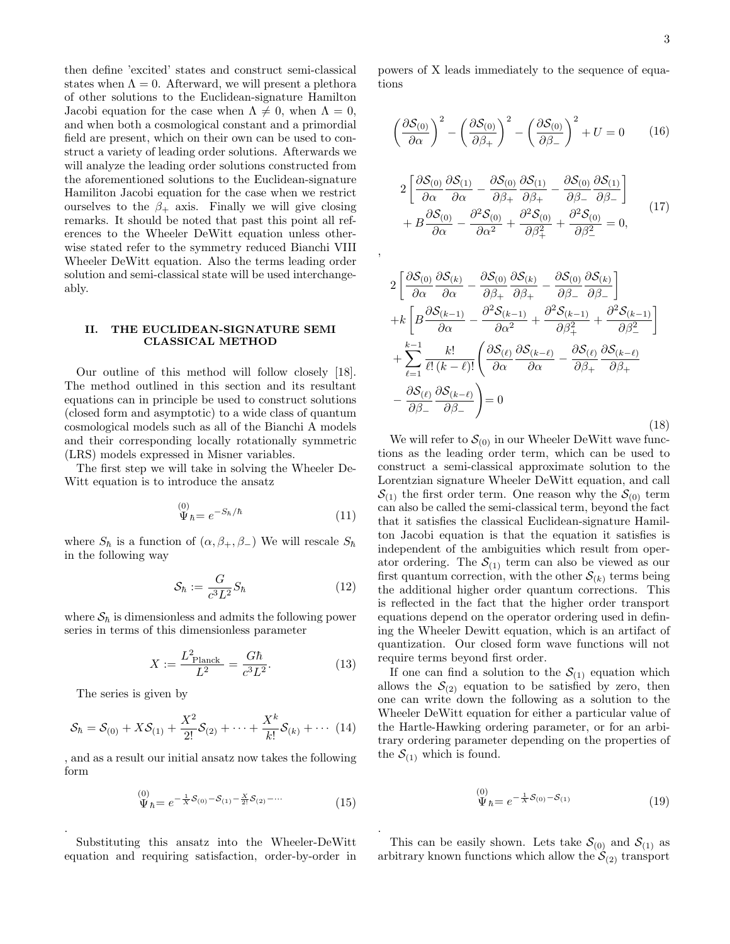then define 'excited' states and construct semi-classical states when  $\Lambda = 0$ . Afterward, we will present a plethora of other solutions to the Euclidean-signature Hamilton Jacobi equation for the case when  $\Lambda \neq 0$ , when  $\Lambda = 0$ , and when both a cosmological constant and a primordial field are present, which on their own can be used to construct a variety of leading order solutions. Afterwards we will analyze the leading order solutions constructed from the aforementioned solutions to the Euclidean-signature Hamiliton Jacobi equation for the case when we restrict ourselves to the  $\beta_+$  axis. Finally we will give closing remarks. It should be noted that past this point all references to the Wheeler DeWitt equation unless otherwise stated refer to the symmetry reduced Bianchi VIII Wheeler DeWitt equation. Also the terms leading order solution and semi-classical state will be used interchangeably.

## II. THE EUCLIDEAN-SIGNATURE SEMI CLASSICAL METHOD

Our outline of this method will follow closely [18]. The method outlined in this section and its resultant equations can in principle be used to construct solutions (closed form and asymptotic) to a wide class of quantum cosmological models such as all of the Bianchi A models and their corresponding locally rotationally symmetric (LRS) models expressed in Misner variables.

The first step we will take in solving the Wheeler De-Witt equation is to introduce the ansatz

$$
\stackrel{(0)}{\Psi}_{\hbar} = e^{-S_{\hbar}/\hbar} \tag{11}
$$

where  $S_{\hbar}$  is a function of  $(\alpha, \beta_+, \beta_-)$  We will rescale  $S_{\hbar}$ in the following way

$$
\mathcal{S}_{\hbar} := \frac{G}{c^3 L^2} S_{\hbar} \tag{12}
$$

where  $\mathcal{S}_{\hbar}$  is dimensionless and admits the following power series in terms of this dimensionless parameter

$$
X := \frac{L_{\text{Planck}}^2}{L^2} = \frac{G\hbar}{c^3 L^2}.
$$
 (13)

The series is given by

.

$$
S_{\hbar} = S_{(0)} + XS_{(1)} + \frac{X^2}{2!}S_{(2)} + \cdots + \frac{X^k}{k!}S_{(k)} + \cdots (14)
$$

, and as a result our initial ansatz now takes the following form

$$
\stackrel{(0)}{\Psi}_{\hbar} = e^{-\frac{1}{X}\mathcal{S}_{(0)} - \mathcal{S}_{(1)} - \frac{X}{2!}\mathcal{S}_{(2)} - \cdots} \tag{15}
$$

Substituting this ansatz into the Wheeler-DeWitt equation and requiring satisfaction, order-by-order in

powers of X leads immediately to the sequence of equations

$$
\left(\frac{\partial S_{(0)}}{\partial \alpha}\right)^2 - \left(\frac{\partial S_{(0)}}{\partial \beta_+}\right)^2 - \left(\frac{\partial S_{(0)}}{\partial \beta_-}\right)^2 + U = 0 \qquad (16)
$$

$$
2\left[\frac{\partial S_{(0)}}{\partial \alpha}\frac{\partial S_{(1)}}{\partial \alpha} - \frac{\partial S_{(0)}}{\partial \beta_{+}}\frac{\partial S_{(1)}}{\partial \beta_{+}} - \frac{\partial S_{(0)}}{\partial \beta_{-}}\frac{\partial S_{(1)}}{\partial \beta_{-}}\right] + B\frac{\partial S_{(0)}}{\partial \alpha} - \frac{\partial^{2} S_{(0)}}{\partial \alpha^{2}} + \frac{\partial^{2} S_{(0)}}{\partial \beta_{+}^{2}} + \frac{\partial^{2} S_{(0)}}{\partial \beta_{-}^{2}} = 0,
$$
(17)

,

.

$$
2\left[\frac{\partial S_{(0)}}{\partial \alpha}\frac{\partial S_{(k)}}{\partial \alpha} - \frac{\partial S_{(0)}}{\partial \beta_{+}}\frac{\partial S_{(k)}}{\partial \beta_{+}} - \frac{\partial S_{(0)}}{\partial \beta_{-}}\frac{\partial S_{(k)}}{\partial \beta_{-}}\right] + k\left[B\frac{\partial S_{(k-1)}}{\partial \alpha} - \frac{\partial^{2} S_{(k-1)}}{\partial \alpha^{2}} + \frac{\partial^{2} S_{(k-1)}}{\partial \beta_{+}^{2}} + \frac{\partial^{2} S_{(k-1)}}{\partial \beta_{-}^{2}}\right] + \sum_{\ell=1}^{k-1} \frac{k!}{\ell! \left(k-\ell\right)!} \left(\frac{\partial S_{(\ell)}}{\partial \alpha}\frac{\partial S_{(k-\ell)}}{\partial \alpha} - \frac{\partial S_{(\ell)}}{\partial \beta_{+}}\frac{\partial S_{(k-\ell)}}{\partial \beta_{+}}\right) - \frac{\partial S_{(\ell)}}{\partial \beta_{-}}\frac{\partial S_{(k-\ell)}}{\partial \beta_{-}}\right) = 0
$$
\n(18)

We will refer to  $S_{(0)}$  in our Wheeler DeWitt wave functions as the leading order term, which can be used to construct a semi-classical approximate solution to the Lorentzian signature Wheeler DeWitt equation, and call  $S_{(1)}$  the first order term. One reason why the  $S_{(0)}$  term can also be called the semi-classical term, beyond the fact that it satisfies the classical Euclidean-signature Hamilton Jacobi equation is that the equation it satisfies is independent of the ambiguities which result from operator ordering. The  $S_{(1)}$  term can also be viewed as our first quantum correction, with the other  $\mathcal{S}_{(k)}$  terms being the additional higher order quantum corrections. This is reflected in the fact that the higher order transport equations depend on the operator ordering used in defining the Wheeler Dewitt equation, which is an artifact of quantization. Our closed form wave functions will not require terms beyond first order.

If one can find a solution to the  $S_{(1)}$  equation which allows the  $\mathcal{S}_{(2)}$  equation to be satisfied by zero, then one can write down the following as a solution to the Wheeler DeWitt equation for either a particular value of the Hartle-Hawking ordering parameter, or for an arbitrary ordering parameter depending on the properties of the  $S_{(1)}$  which is found.

$$
\stackrel{(0)}{\Psi}_{\hbar} = e^{-\frac{1}{X}\mathcal{S}_{(0)} - \mathcal{S}_{(1)}}\n\tag{19}
$$

This can be easily shown. Lets take  $\mathcal{S}_{(0)}$  and  $\mathcal{S}_{(1)}$  as arbitrary known functions which allow the  $S_{(2)}$  transport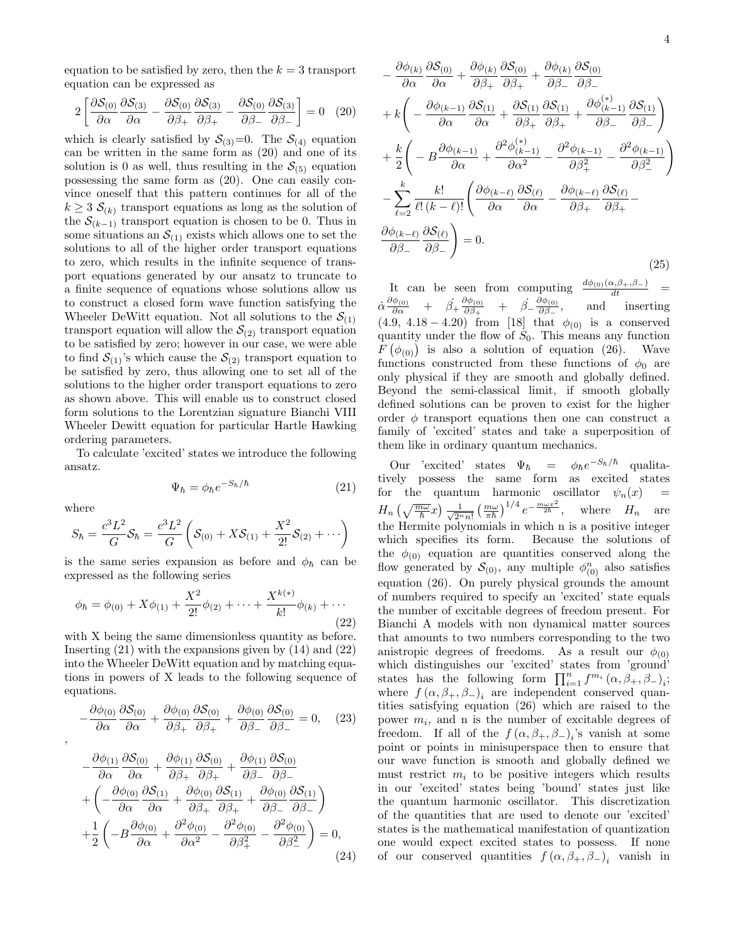equation to be satisfied by zero, then the  $k = 3$  transport equation can be expressed as

$$
2\left[\frac{\partial S_{(0)}}{\partial \alpha}\frac{\partial S_{(3)}}{\partial \alpha} - \frac{\partial S_{(0)}}{\partial \beta_{+}}\frac{\partial S_{(3)}}{\partial \beta_{+}} - \frac{\partial S_{(0)}}{\partial \beta_{-}}\frac{\partial S_{(3)}}{\partial \beta_{-}}\right] = 0 \quad (20)
$$

which is clearly satisfied by  $S_{(3)}=0$ . The  $S_{(4)}$  equation can be written in the same form as (20) and one of its solution is 0 as well, thus resulting in the  $\mathcal{S}_{(5)}$  equation possessing the same form as (20). One can easily convince oneself that this pattern continues for all of the  $k \geq 3$   $\mathcal{S}_{(k)}$  transport equations as long as the solution of the  $S_{(k-1)}$  transport equation is chosen to be 0. Thus in some situations an  $S_{(1)}$  exists which allows one to set the solutions to all of the higher order transport equations to zero, which results in the infinite sequence of transport equations generated by our ansatz to truncate to a finite sequence of equations whose solutions allow us to construct a closed form wave function satisfying the Wheeler DeWitt equation. Not all solutions to the  $S_{(1)}$ transport equation will allow the  $S_{(2)}$  transport equation to be satisfied by zero; however in our case, we were able to find  $S_{(1)}$ 's which cause the  $S_{(2)}$  transport equation to be satisfied by zero, thus allowing one to set all of the solutions to the higher order transport equations to zero as shown above. This will enable us to construct closed form solutions to the Lorentzian signature Bianchi VIII Wheeler Dewitt equation for particular Hartle Hawking ordering parameters.

To calculate 'excited' states we introduce the following ansatz.

$$
\Psi_{\hbar} = \phi_{\hbar} e^{-S_{\hbar}/\hbar} \tag{21}
$$

where

,

$$
S_{\hbar} = \frac{c^3 L^2}{G} S_{\hbar} = \frac{c^3 L^2}{G} \left( S_{(0)} + X S_{(1)} + \frac{X^2}{2!} S_{(2)} + \cdots \right)
$$

is the same series expansion as before and  $\phi_{\hbar}$  can be expressed as the following series

$$
\phi_{\hbar} = \phi_{(0)} + X\phi_{(1)} + \frac{X^2}{2!}\phi_{(2)} + \dots + \frac{X^{k(*)}}{k!}\phi_{(k)} + \dots
$$
\n(22)

with X being the same dimensionless quantity as before. Inserting  $(21)$  with the expansions given by  $(14)$  and  $(22)$ into the Wheeler DeWitt equation and by matching equations in powers of X leads to the following sequence of equations.

$$
-\frac{\partial \phi_{(0)}}{\partial \alpha} \frac{\partial S_{(0)}}{\partial \alpha} + \frac{\partial \phi_{(0)}}{\partial \beta_+} \frac{\partial S_{(0)}}{\partial \beta_+} + \frac{\partial \phi_{(0)}}{\partial \beta_-} \frac{\partial S_{(0)}}{\partial \beta_-} = 0, \quad (23)
$$

$$
-\frac{\partial \phi_{(1)}}{\partial \alpha} \frac{\partial S_{(0)}}{\partial \alpha} + \frac{\partial \phi_{(1)}}{\partial \beta_+} \frac{\partial S_{(0)}}{\partial \beta_+} + \frac{\partial \phi_{(1)}}{\partial \beta_-} \frac{\partial S_{(0)}}{\partial \beta_-} + \left( -\frac{\partial \phi_{(0)}}{\partial \alpha} \frac{\partial S_{(1)}}{\partial \alpha} + \frac{\partial \phi_{(0)}}{\partial \beta_+} \frac{\partial S_{(1)}}{\partial \beta_+} + \frac{\partial \phi_{(0)}}{\partial \beta_-} \frac{\partial S_{(1)}}{\partial \beta_-} \right) + \frac{1}{2} \left( -B \frac{\partial \phi_{(0)}}{\partial \alpha} + \frac{\partial^2 \phi_{(0)}}{\partial \alpha^2} - \frac{\partial^2 \phi_{(0)}}{\partial \beta_+^2} - \frac{\partial^2 \phi_{(0)}}{\partial \beta_-^2} \right) = 0,
$$
\n(24)

$$
-\frac{\partial \phi_{(k)}}{\partial \alpha} \frac{\partial S_{(0)}}{\partial \alpha} + \frac{\partial \phi_{(k)}}{\partial \beta_{+}} \frac{\partial S_{(0)}}{\partial \beta_{+}} + \frac{\partial \phi_{(k)}}{\partial \beta_{-}} \frac{\partial S_{(0)}}{\partial \beta_{-}} + k \left( -\frac{\partial \phi_{(k-1)}}{\partial \alpha} \frac{\partial S_{(1)}}{\partial \alpha} + \frac{\partial S_{(1)}}{\partial \beta_{+}} \frac{\partial S_{(1)}}{\partial \beta_{+}} + \frac{\partial \phi_{(k-1)}}{\partial \beta_{-}} \frac{\partial S_{(1)}}{\partial \beta_{-}} \right) + \frac{k}{2} \left( -B \frac{\partial \phi_{(k-1)}}{\partial \alpha} + \frac{\partial^{2} \phi_{(k-1)}}{\partial \alpha^{2}} - \frac{\partial^{2} \phi_{(k-1)}}{\partial \beta_{+}^{2}} - \frac{\partial^{2} \phi_{(k-1)}}{\partial \beta_{-}^{2}} \right) - \sum_{\ell=2}^{k} \frac{k!}{\ell! \, (k-\ell)!} \left( \frac{\partial \phi_{(k-\ell)}}{\partial \alpha} \frac{\partial S_{(\ell)}}{\partial \alpha} - \frac{\partial \phi_{(k-\ell)}}{\partial \beta_{+}} \frac{\partial S_{(\ell)}}{\partial \beta_{+}} - \frac{\partial \phi_{(k-\ell)}}{\partial \beta_{-}} \frac{\partial S_{(\ell)}}{\partial \beta_{-}} \right) = 0.
$$
\n(25)

It can be seen from computing  $\frac{d\phi_{(0)}(\alpha,\beta_{+},\beta_{-})}{dt}$  $\dot{\alpha}\frac{\partial\phi_{(0)}}{\partial\alpha}\quad+\quad\dot{\beta_{+}}\frac{\partial\phi_{(0)}}{\partial\beta_{+}}$  $\frac{\partial \phi_{(0)}}{\partial \beta_+}$  +  $\dot{\beta_-} \frac{\partial \phi_{(0)}}{\partial \beta_-}$ ∂β<sup>−</sup> , and inserting (4.9, 4.18 – 4.20) from [18] that  $\phi_{(0)}$  is a conserved quantity under the flow of  $S_0$ . This means any function  $F(\phi_{(0)})$  is also a solution of equation (26). Wave functions constructed from these functions of  $\phi_0$  are only physical if they are smooth and globally defined. Beyond the semi-classical limit, if smooth globally defined solutions can be proven to exist for the higher order  $\phi$  transport equations then one can construct a family of 'excited' states and take a superposition of them like in ordinary quantum mechanics.

Our 'excited' states  $\Psi_{\hbar} = \phi_{\hbar} e^{-S_{\hbar}/\hbar}$  qualitatively possess the same form as excited states for the quantum harmonic oscillator  $\psi_n(x)$  =  $H_n\left(\sqrt{\frac{m\omega}{\hbar}}x\right)\frac{1}{\sqrt{2^n}}$  $\frac{1}{2^n n!} \left(\frac{m\omega}{\pi\hbar}\right)^{1/4} e^{-\frac{m\omega x^2}{2\hbar}}, \quad \text{where} \quad H_n \quad \text{are}$ the Hermite polynomials in which n is a positive integer which specifies its form. Because the solutions of the  $\phi_{(0)}$  equation are quantities conserved along the flow generated by  $\mathcal{S}_{(0)}$ , any multiple  $\phi_{(0)}^n$  also satisfies equation (26). On purely physical grounds the amount of numbers required to specify an 'excited' state equals the number of excitable degrees of freedom present. For Bianchi A models with non dynamical matter sources that amounts to two numbers corresponding to the two anistropic degrees of freedoms. As a result our  $\phi_{(0)}$ which distinguishes our 'excited' states from 'ground' states has the following form  $\prod_{i=1}^n f^{m_i} (\alpha, \beta_+, \beta_-)_i$ ; where  $f(\alpha, \beta_+, \beta_-)_i$  are independent conserved quantities satisfying equation (26) which are raised to the power  $m_i$ , and n is the number of excitable degrees of freedom. If all of the  $f(\alpha, \beta_+, \beta_-)_i$ 's vanish at some point or points in minisuperspace then to ensure that our wave function is smooth and globally defined we must restrict  $m_i$  to be positive integers which results in our 'excited' states being 'bound' states just like the quantum harmonic oscillator. This discretization of the quantities that are used to denote our 'excited' states is the mathematical manifestation of quantization one would expect excited states to possess. If none of our conserved quantities  $f(\alpha, \beta_+, \beta_-)_i$  vanish in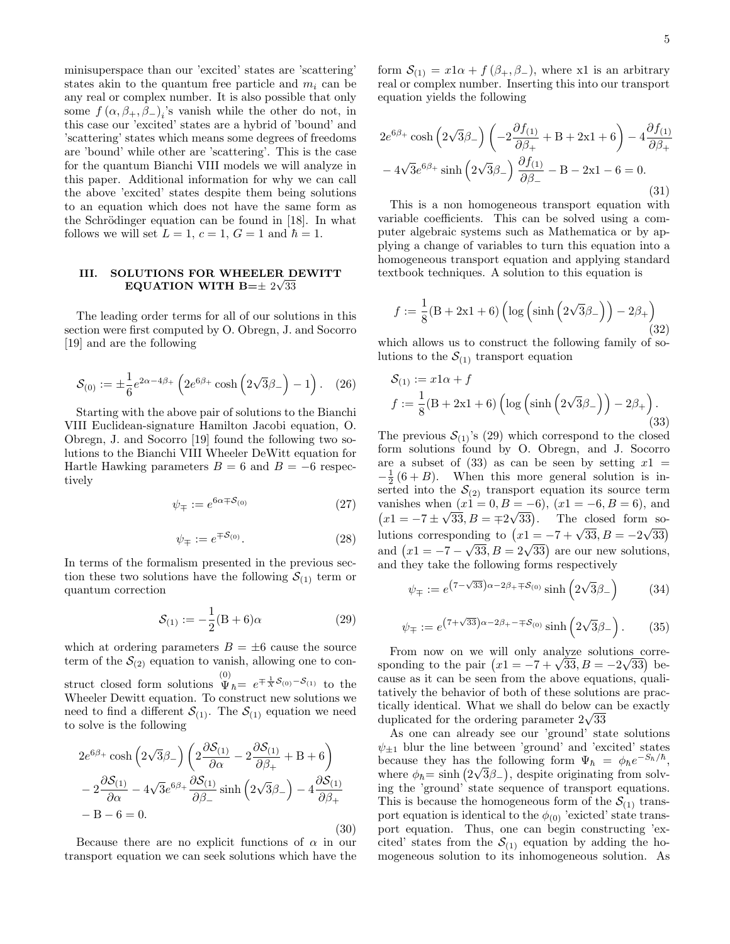minisuperspace than our 'excited' states are 'scattering' states akin to the quantum free particle and  $m_i$  can be any real or complex number. It is also possible that only some  $f(\alpha, \beta_+, \beta_-)_i$ 's vanish while the other do not, in this case our 'excited' states are a hybrid of 'bound' and 'scattering' states which means some degrees of freedoms are 'bound' while other are 'scattering'. This is the case for the quantum Bianchi VIII models we will analyze in this paper. Additional information for why we can call the above 'excited' states despite them being solutions to an equation which does not have the same form as the Schrödinger equation can be found in  $[18]$ . In what follows we will set  $L = 1$ ,  $c = 1$ ,  $G = 1$  and  $\hbar = 1$ .

## III. SOLUTIONS FOR WHEELER DEWITT EQUATION WITH B= $\pm~2\sqrt{33}$

The leading order terms for all of our solutions in this section were first computed by O. Obregn, J. and Socorro [19] and are the following

$$
S_{(0)} := \pm \frac{1}{6} e^{2\alpha - 4\beta_+} \left( 2e^{6\beta_+} \cosh\left(2\sqrt{3}\beta_-\right) - 1\right). \tag{26}
$$

Starting with the above pair of solutions to the Bianchi VIII Euclidean-signature Hamilton Jacobi equation, O. Obregn, J. and Socorro [19] found the following two solutions to the Bianchi VIII Wheeler DeWitt equation for Hartle Hawking parameters  $B = 6$  and  $B = -6$  respectively

$$
\psi_{\mp} := e^{6\alpha \mp \mathcal{S}_{(0)}} \tag{27}
$$

$$
\psi_{\mp} := e^{\mp \mathcal{S}_{(0)}}.\tag{28}
$$

In terms of the formalism presented in the previous section these two solutions have the following  $S_{(1)}$  term or quantum correction

$$
S_{(1)} := -\frac{1}{2}(B+6)\alpha
$$
 (29)

(30)

which at ordering parameters  $B = \pm 6$  cause the source term of the  $S_{(2)}$  equation to vanish, allowing one to construct closed form solutions  $\overline{\Psi}_{\hbar} = e^{\mp \frac{1}{X} S_{(0)} - S_{(1)}}$  to the Wheeler Dewitt equation. To construct new solutions we need to find a different  $\mathcal{S}_{(1)}$ . The  $\mathcal{S}_{(1)}$  equation we need to solve is the following

$$
2e^{6\beta_{+}}\cosh\left(2\sqrt{3}\beta_{-}\right)\left(2\frac{\partial S_{(1)}}{\partial\alpha} - 2\frac{\partial S_{(1)}}{\partial\beta_{+}} + B + 6\right) - 2\frac{\partial S_{(1)}}{\partial\alpha} - 4\sqrt{3}e^{6\beta_{+}}\frac{\partial S_{(1)}}{\partial\beta_{-}}\sinh\left(2\sqrt{3}\beta_{-}\right) - 4\frac{\partial S_{(1)}}{\partial\beta_{+}} - B - 6 = 0.
$$

Because there are no explicit functions of  $\alpha$  in our transport equation we can seek solutions which have the

form  $S_{(1)} = x1\alpha + f(\beta_+, \beta_-)$ , where x1 is an arbitrary real or complex number. Inserting this into our transport equation yields the following

$$
2e^{6\beta_{+}}\cosh\left(2\sqrt{3}\beta_{-}\right)\left(-2\frac{\partial f_{(1)}}{\partial\beta_{+}}+B+2x1+6\right)-4\frac{\partial f_{(1)}}{\partial\beta_{+}}-4\sqrt{3}e^{6\beta_{+}}\sinh\left(2\sqrt{3}\beta_{-}\right)\frac{\partial f_{(1)}}{\partial\beta_{-}}-B-2x1-6=0.
$$
\n(31)

This is a non homogeneous transport equation with variable coefficients. This can be solved using a computer algebraic systems such as Mathematica or by applying a change of variables to turn this equation into a homogeneous transport equation and applying standard textbook techniques. A solution to this equation is

$$
f := \frac{1}{8} (B + 2x1 + 6) \left( \log \left( \sinh \left( 2\sqrt{3}\beta_{-} \right) \right) - 2\beta_{+} \right) \tag{32}
$$

which allows us to construct the following family of solutions to the  $S_{(1)}$  transport equation

$$
S_{(1)} := x1\alpha + f
$$
  

$$
f := \frac{1}{8}(B + 2x1 + 6) \left( \log \left( \sinh \left( 2\sqrt{3}\beta_{-} \right) \right) - 2\beta_{+} \right).
$$
  
(33)

The previous  $S_{(1)}$ 's (29) which correspond to the closed form solutions found by O. Obregn, and J. Socorro are a subset of  $(33)$  as can be seen by setting  $x1 =$  $-\frac{1}{2}(6+B)$ . When this more general solution is inserted into the  $\mathcal{S}_{(2)}$  transport equation its source term vanishes when  $(x1 = 0, B = -6)$ ,  $(x1 = -6, B = 6)$ , and  $(x1 = -7 \pm \sqrt{33}, B = \pm 2\sqrt{33})$ . The closed form so- $\begin{array}{lll}\n\text{(11)} & -7 \pm \sqrt{33}, D \pm \sqrt{23}, \text{ } \\
\text{lutions corresponding to } (x1 = -7 + \sqrt{33}, B \pm -2)\n\end{array}$ ding to  $(x1 = -7 + \sqrt{33}, B = -2\sqrt{33})$ and  $(x_1 = -7 - \sqrt{33}, B = 2\sqrt{33})$  are our new solutions, and they take the following forms respectively

$$
\psi_{\mp} := e^{\left(7 - \sqrt{33}\right)\alpha - 2\beta_{+} \mp \mathcal{S}_{(0)}} \sinh\left(2\sqrt{3}\beta_{-}\right) \tag{34}
$$

$$
\psi_{\mp} := e^{(7+\sqrt{33})\alpha - 2\beta_{+} - \mp \mathcal{S}_{(0)}} \sinh\left(2\sqrt{3}\beta_{-}\right). \tag{35}
$$

From now on we will only analyze solutions corre-From now on we will only analyze solutions corresponding to the pair  $(x1 = -7 + \sqrt{33}, B = -2\sqrt{33})$  because as it can be seen from the above equations, qualitatively the behavior of both of these solutions are practically identical. What we shall do below can be exactly tically identical. What we shall do below ca<br>duplicated for the ordering parameter  $2\sqrt{33}$ 

As one can already see our 'ground' state solutions  $\psi_{\pm 1}$  blur the line between 'ground' and 'excited' states because they has the following form  $\Psi_{\hbar} = \phi_{\hbar} e^{-S_{\hbar}/\hbar}$ , where  $\phi_{\hbar} = \sinh (2\sqrt{3}\beta_-)$ , despite originating from solving the 'ground' state sequence of transport equations. This is because the homogeneous form of the  $\mathcal{S}_{(1)}$  transport equation is identical to the  $\phi_{(0)}$  'exicted' state transport equation. Thus, one can begin constructing 'excited' states from the  $S_{(1)}$  equation by adding the homogeneous solution to its inhomogeneous solution. As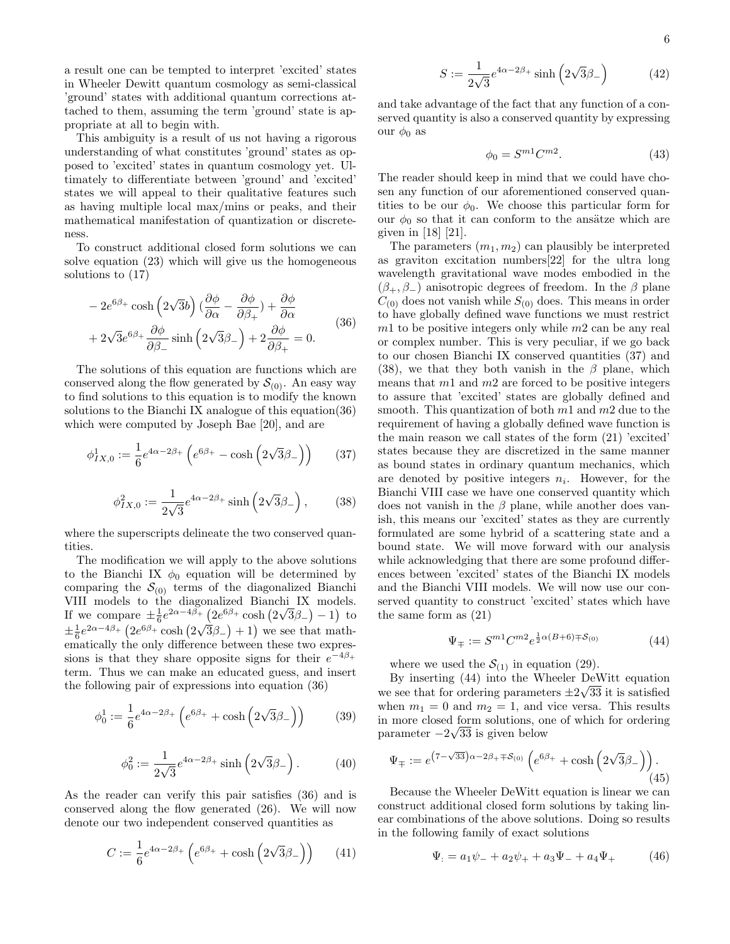a result one can be tempted to interpret 'excited' states in Wheeler Dewitt quantum cosmology as semi-classical 'ground' states with additional quantum corrections attached to them, assuming the term 'ground' state is appropriate at all to begin with.

This ambiguity is a result of us not having a rigorous understanding of what constitutes 'ground' states as opposed to 'excited' states in quantum cosmology yet. Ultimately to differentiate between 'ground' and 'excited' states we will appeal to their qualitative features such as having multiple local max/mins or peaks, and their mathematical manifestation of quantization or discreteness.

To construct additional closed form solutions we can solve equation (23) which will give us the homogeneous solutions to (17)

$$
-2e^{6\beta_{+}}\cosh\left(2\sqrt{3}b\right)\left(\frac{\partial\phi}{\partial\alpha}-\frac{\partial\phi}{\partial\beta_{+}}\right)+\frac{\partial\phi}{\partial\alpha}
$$
  
+2\sqrt{3}e^{6\beta\_{+}}\frac{\partial\phi}{\partial\beta\_{-}}\sinh\left(2\sqrt{3}\beta\_{-}\right)+2\frac{\partial\phi}{\partial\beta\_{+}}=0. (36)

The solutions of this equation are functions which are conserved along the flow generated by  $S_{(0)}$ . An easy way to find solutions to this equation is to modify the known solutions to the Bianchi IX analogue of this equation(36) which were computed by Joseph Bae [20], and are

$$
\phi_{IX,0}^1 := \frac{1}{6} e^{4\alpha - 2\beta_+} \left( e^{6\beta_+} - \cosh\left(2\sqrt{3}\beta_-\right) \right) \tag{37}
$$

$$
\phi_{IX,0}^2 := \frac{1}{2\sqrt{3}} e^{4\alpha - 2\beta_+} \sinh\left(2\sqrt{3}\beta_-\right),\tag{38}
$$

where the superscripts delineate the two conserved quantities.

The modification we will apply to the above solutions to the Bianchi IX  $\phi_0$  equation will be determined by comparing the  $S_{(0)}$  terms of the diagonalized Bianchi VIII models to the diagonalized Bianchi IX models. If we compare  $\pm \frac{1}{6}e^{2\alpha-4\beta_{+}}$   $\left(2e^{6\beta_{+}}\cosh\left(2\right)$ √  $\frac{3}{5}(-2e^{6\beta_+}\cosh(2\sqrt{3}\beta_-)-1)$  to  $\pm \frac{1}{6}e^{2\alpha-4\beta_{+}}\left(2e^{6\beta_{+}}\cosh\left(2\sqrt{3}\beta_{-}\right)+1\right)$  we see that mathematically the only difference between these two expressions is that they share opposite signs for their  $e^{-4\beta_+}$ term. Thus we can make an educated guess, and insert the following pair of expressions into equation (36)

$$
\phi_0^1 := \frac{1}{6} e^{4\alpha - 2\beta_+} \left( e^{6\beta_+} + \cosh\left(2\sqrt{3}\beta_-\right) \right) \tag{39}
$$

$$
\phi_0^2 := \frac{1}{2\sqrt{3}} e^{4\alpha - 2\beta_+} \sinh\left(2\sqrt{3}\beta_-\right). \tag{40}
$$

As the reader can verify this pair satisfies (36) and is conserved along the flow generated (26). We will now denote our two independent conserved quantities as

$$
C := \frac{1}{6}e^{4\alpha - 2\beta_+} \left( e^{6\beta_+} + \cosh\left(2\sqrt{3}\beta_-\right) \right) \tag{41}
$$

$$
S := \frac{1}{2\sqrt{3}} e^{4\alpha - 2\beta_+} \sinh\left(2\sqrt{3}\beta_-\right) \tag{42}
$$

and take advantage of the fact that any function of a conserved quantity is also a conserved quantity by expressing our  $\phi_0$  as

$$
\phi_0 = S^{m1} C^{m2}.\tag{43}
$$

The reader should keep in mind that we could have chosen any function of our aforementioned conserved quantities to be our  $\phi_0$ . We choose this particular form for our  $\phi_0$  so that it can conform to the ansätze which are given in [18] [21].

The parameters  $(m_1, m_2)$  can plausibly be interpreted as graviton excitation numbers[22] for the ultra long wavelength gravitational wave modes embodied in the  $(\beta_+, \beta_-)$  anisotropic degrees of freedom. In the  $\beta$  plane  $C_{(0)}$  does not vanish while  $S_{(0)}$  does. This means in order to have globally defined wave functions we must restrict  $m1$  to be positive integers only while  $m2$  can be any real or complex number. This is very peculiar, if we go back to our chosen Bianchi IX conserved quantities (37) and (38), we that they both vanish in the  $\beta$  plane, which means that  $m1$  and  $m2$  are forced to be positive integers to assure that 'excited' states are globally defined and smooth. This quantization of both  $m_1$  and  $m_2$  due to the requirement of having a globally defined wave function is the main reason we call states of the form (21) 'excited' states because they are discretized in the same manner as bound states in ordinary quantum mechanics, which are denoted by positive integers  $n_i$ . However, for the Bianchi VIII case we have one conserved quantity which does not vanish in the  $\beta$  plane, while another does vanish, this means our 'excited' states as they are currently formulated are some hybrid of a scattering state and a bound state. We will move forward with our analysis while acknowledging that there are some profound differences between 'excited' states of the Bianchi IX models and the Bianchi VIII models. We will now use our conserved quantity to construct 'excited' states which have the same form as (21)

 $\Psi_{\mp} := S^{m_1} C^{m_2} e^{\frac{1}{2}\alpha(B+6)\mp S_{(0)}}$  (44)

where we used the  $S_{(1)}$  in equation (29).

By inserting  $(44)$  into the Wheeler DeWitt equation we see that for ordering parameters  $\pm 2\sqrt{33}$  it is satisfied when  $m_1 = 0$  and  $m_2 = 1$ , and vice versa. This results in more closed form solutions, one of which for ordering √ parameter −2 33 is given below

$$
\Psi_{\mp} := e^{(7-\sqrt{33})\alpha - 2\beta_{+} \mp \mathcal{S}_{(0)}} \left( e^{6\beta_{+}} + \cosh\left(2\sqrt{3}\beta_{-}\right) \right). \tag{45}
$$

Because the Wheeler DeWitt equation is linear we can construct additional closed form solutions by taking linear combinations of the above solutions. Doing so results in the following family of exact solutions

$$
\Psi_{\cdot} = a_1 \psi_{-} + a_2 \psi_{+} + a_3 \Psi_{-} + a_4 \Psi_{+} \tag{46}
$$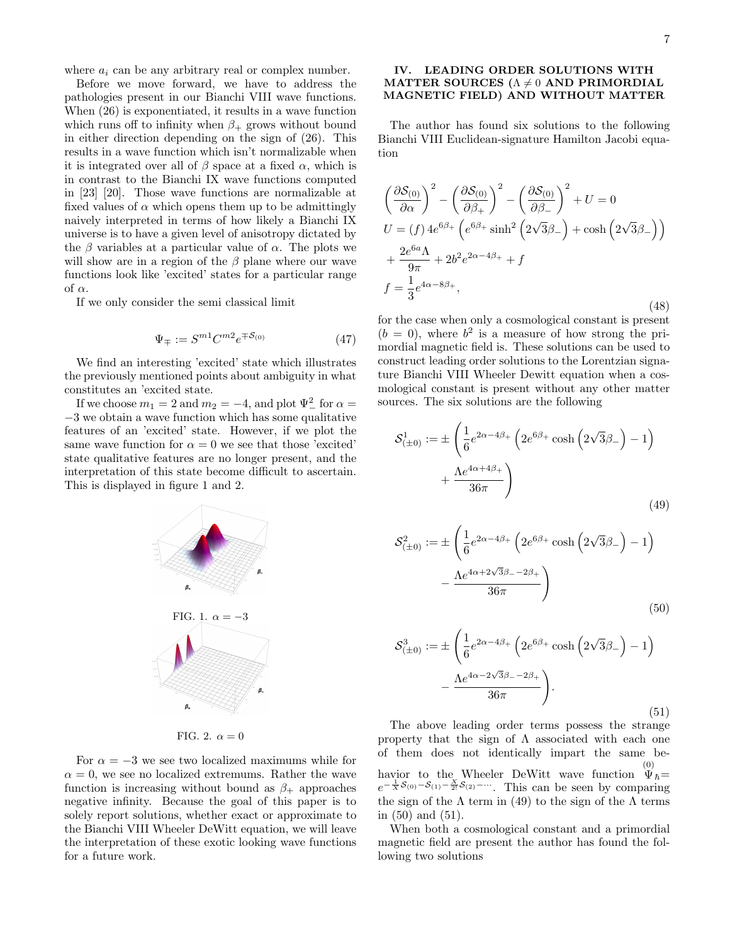where  $a_i$  can be any arbitrary real or complex number.

Before we move forward, we have to address the pathologies present in our Bianchi VIII wave functions. When (26) is exponentiated, it results in a wave function which runs off to infinity when  $\beta_+$  grows without bound in either direction depending on the sign of (26). This results in a wave function which isn't normalizable when it is integrated over all of  $\beta$  space at a fixed  $\alpha$ , which is in contrast to the Bianchi IX wave functions computed in [23] [20]. Those wave functions are normalizable at fixed values of  $\alpha$  which opens them up to be admittingly naively interpreted in terms of how likely a Bianchi IX universe is to have a given level of anisotropy dictated by the  $\beta$  variables at a particular value of  $\alpha$ . The plots we will show are in a region of the  $\beta$  plane where our wave functions look like 'excited' states for a particular range of  $\alpha$ .

If we only consider the semi classical limit

$$
\Psi_{\mp} := S^{m1} C^{m2} e^{\mp \mathcal{S}_{(0)}} \tag{47}
$$

We find an interesting 'excited' state which illustrates the previously mentioned points about ambiguity in what constitutes an 'excited state.

If we choose  $m_1 = 2$  and  $m_2 = -4$ , and plot  $\Psi^2$  for  $\alpha =$ −3 we obtain a wave function which has some qualitative features of an 'excited' state. However, if we plot the same wave function for  $\alpha = 0$  we see that those 'excited' state qualitative features are no longer present, and the interpretation of this state become difficult to ascertain. This is displayed in figure 1 and 2.



FIG. 2.  $\alpha = 0$ 

For  $\alpha = -3$  we see two localized maximums while for  $\alpha = 0$ , we see no localized extremums. Rather the wave function is increasing without bound as  $\beta_+$  approaches negative infinity. Because the goal of this paper is to solely report solutions, whether exact or approximate to the Bianchi VIII Wheeler DeWitt equation, we will leave the interpretation of these exotic looking wave functions for a future work.

## IV. LEADING ORDER SOLUTIONS WITH MATTER SOURCES ( $\Lambda \neq 0$  AND PRIMORDIAL MAGNETIC FIELD) AND WITHOUT MATTER

The author has found six solutions to the following Bianchi VIII Euclidean-signature Hamilton Jacobi equation

$$
\left(\frac{\partial S_{(0)}}{\partial \alpha}\right)^2 - \left(\frac{\partial S_{(0)}}{\partial \beta_+}\right)^2 - \left(\frac{\partial S_{(0)}}{\partial \beta_-}\right)^2 + U = 0
$$
  
\n
$$
U = (f) 4e^{6\beta_+} \left(e^{6\beta_+} \sinh^2 \left(2\sqrt{3}\beta_-\right) + \cosh \left(2\sqrt{3}\beta_-\right)\right)
$$
  
\n
$$
+ \frac{2e^{6a}\Lambda}{9\pi} + 2b^2 e^{2\alpha - 4\beta_+} + f
$$
  
\n
$$
f = \frac{1}{3}e^{4\alpha - 8\beta_+},
$$
\n(48)

for the case when only a cosmological constant is present  $(b = 0)$ , where  $b^2$  is a measure of how strong the primordial magnetic field is. These solutions can be used to construct leading order solutions to the Lorentzian signature Bianchi VIII Wheeler Dewitt equation when a cosmological constant is present without any other matter sources. The six solutions are the following

$$
S^{1}_{(\pm 0)} := \pm \left( \frac{1}{6} e^{2\alpha - 4\beta_{+}} \left( 2e^{6\beta_{+}} \cosh \left( 2\sqrt{3}\beta_{-} \right) - 1 \right) + \frac{\Lambda e^{4\alpha + 4\beta_{+}}}{36\pi} \right)
$$
\n
$$
(49)
$$

$$
S_{(\pm 0)}^2 := \pm \left( \frac{1}{6} e^{2\alpha - 4\beta_+} \left( 2e^{6\beta_+} \cosh \left( 2\sqrt{3}\beta_- \right) - 1 \right) - \frac{\Lambda e^{4\alpha + 2\sqrt{3}\beta_- - 2\beta_+}}{36\pi} \right)
$$
(50)

$$
\mathcal{S}_{(\pm 0)}^3 := \pm \left( \frac{1}{6} e^{2\alpha - 4\beta_+} \left( 2e^{6\beta_+} \cosh \left( 2\sqrt{3}\beta_- \right) - 1 \right) - \frac{\Lambda e^{4\alpha - 2\sqrt{3}\beta_- - 2\beta_+}}{36\pi} \right).
$$
\n(51)

The above leading order terms possess the strange property that the sign of  $\Lambda$  associated with each one of them does not identically impart the same behavior to the Wheeler DeWitt wave function  $\overset{(0)}{\Psi}_\hbar=$  $e^{-\frac{1}{X}S_{(0)}-S_{(1)}-\frac{X}{2!}S_{(2)}-\cdots}$ . This can be seen by comparing the sign of the  $\Lambda$  term in (49) to the sign of the  $\Lambda$  terms in (50) and (51).

When both a cosmological constant and a primordial magnetic field are present the author has found the following two solutions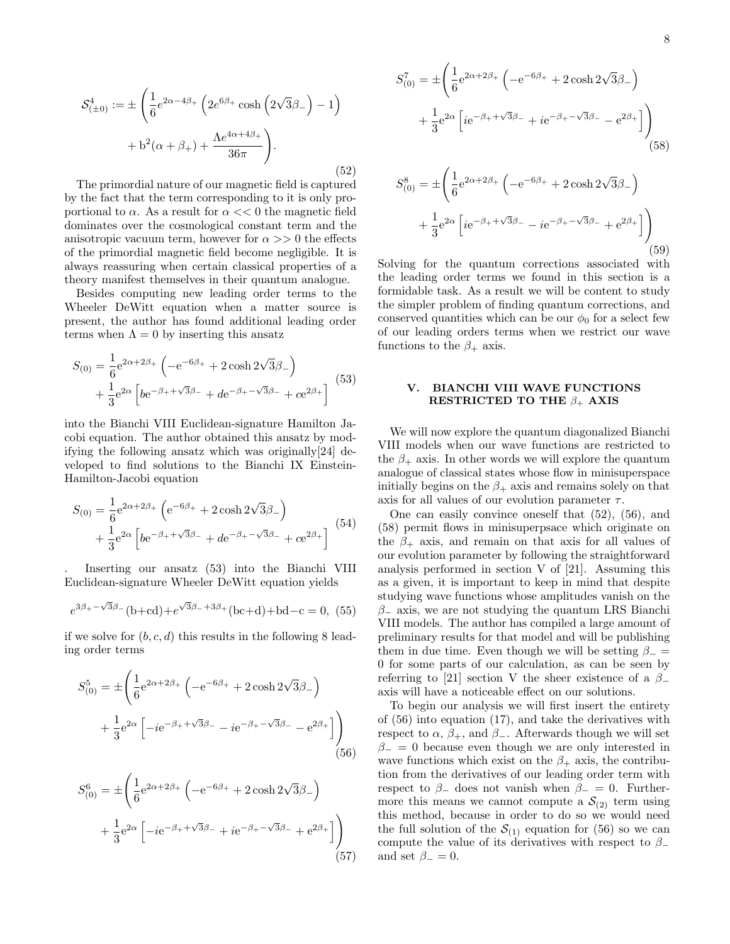$$
\mathcal{S}^{4}_{(\pm 0)} := \pm \left( \frac{1}{6} e^{2\alpha - 4\beta_{+}} \left( 2e^{6\beta_{+}} \cosh \left( 2\sqrt{3}\beta_{-} \right) - 1 \right) + b^{2}(\alpha + \beta_{+}) + \frac{\Lambda e^{4\alpha + 4\beta_{+}}}{36\pi} \right).
$$
\n(52)

The primordial nature of our magnetic field is captured by the fact that the term corresponding to it is only proportional to  $\alpha$ . As a result for  $\alpha \ll 0$  the magnetic field dominates over the cosmological constant term and the anisotropic vacuum term, however for  $\alpha >> 0$  the effects of the primordial magnetic field become negligible. It is always reassuring when certain classical properties of a theory manifest themselves in their quantum analogue.

Besides computing new leading order terms to the Wheeler DeWitt equation when a matter source is present, the author has found additional leading order terms when  $\Lambda = 0$  by inserting this ansatz

$$
S_{(0)} = \frac{1}{6}e^{2\alpha + 2\beta_{+}} \left(-e^{-6\beta_{+}} + 2\cosh 2\sqrt{3}\beta_{-}\right) + \frac{1}{3}e^{2\alpha} \left[be^{-\beta_{+}+\sqrt{3}\beta_{-}} + de^{-\beta_{+}-\sqrt{3}\beta_{-}} + ce^{2\beta_{+}}\right]
$$
(53)

into the Bianchi VIII Euclidean-signature Hamilton Jacobi equation. The author obtained this ansatz by modifying the following ansatz which was originally[24] developed to find solutions to the Bianchi IX Einstein-Hamilton-Jacobi equation

$$
S_{(0)} = \frac{1}{6}e^{2\alpha + 2\beta_{+}} \left( e^{-6\beta_{+}} + 2\cosh 2\sqrt{3}\beta_{-} \right)
$$
  
 
$$
+ \frac{1}{3}e^{2\alpha} \left[ b e^{-\beta_{+} + \sqrt{3}\beta_{-}} + d e^{-\beta_{+} - \sqrt{3}\beta_{-}} + c e^{2\beta_{+}} \right] \tag{54}
$$

. Inserting our ansatz (53) into the Bianchi VIII Euclidean-signature Wheeler DeWitt equation yields

$$
e^{3\beta_{+}-\sqrt{3}\beta_{-}}(b+cd)+e^{\sqrt{3}\beta_{-}+3\beta_{+}}(bc+d)+bd-c=0,
$$
 (55)

if we solve for  $(b, c, d)$  this results in the following 8 leading order terms

$$
S_{(0)}^{5} = \pm \left( \frac{1}{6} e^{2\alpha + 2\beta_{+}} \left( -e^{-6\beta_{+}} + 2\cosh 2\sqrt{3}\beta_{-} \right) + \frac{1}{3} e^{2\alpha} \left[ -ie^{-\beta_{+} + \sqrt{3}\beta_{-}} - ie^{-\beta_{+} - \sqrt{3}\beta_{-}} - e^{2\beta_{+}} \right] \right)
$$
\n(56)

$$
S_{(0)}^{6} = \pm \left( \frac{1}{6} e^{2\alpha + 2\beta_{+}} \left( -e^{-6\beta_{+}} + 2 \cosh 2\sqrt{3}\beta_{-} \right) + \frac{1}{3} e^{2\alpha} \left[ -ie^{-\beta_{+} + \sqrt{3}\beta_{-}} + ie^{-\beta_{+} - \sqrt{3}\beta_{-}} + e^{2\beta_{+}} \right] \right)
$$
\n(57)

$$
S_{(0)}^{7} = \pm \left( \frac{1}{6} e^{2\alpha + 2\beta_{+}} \left( -e^{-6\beta_{+}} + 2 \cosh 2\sqrt{3}\beta_{-} \right) + \frac{1}{3} e^{2\alpha} \left[ i e^{-\beta_{+} + \sqrt{3}\beta_{-}} + i e^{-\beta_{+} - \sqrt{3}\beta_{-}} - e^{2\beta_{+}} \right] \right)
$$
\n(58)

$$
S_{(0)}^{8} = \pm \left( \frac{1}{6} e^{2\alpha + 2\beta_{+}} \left( -e^{-6\beta_{+}} + 2\cosh 2\sqrt{3}\beta_{-} \right) + \frac{1}{3} e^{2\alpha} \left[ i e^{-\beta_{+} + \sqrt{3}\beta_{-}} - i e^{-\beta_{+} - \sqrt{3}\beta_{-}} + e^{2\beta_{+}} \right] \right)
$$
\n(59)

Solving for the quantum corrections associated with the leading order terms we found in this section is a formidable task. As a result we will be content to study the simpler problem of finding quantum corrections, and conserved quantities which can be our  $\phi_0$  for a select few of our leading orders terms when we restrict our wave functions to the  $\beta_+$  axis.

## V. BIANCHI VIII WAVE FUNCTIONS RESTRICTED TO THE  $\beta_+$  AXIS

We will now explore the quantum diagonalized Bianchi VIII models when our wave functions are restricted to the  $\beta_+$  axis. In other words we will explore the quantum analogue of classical states whose flow in minisuperspace initially begins on the  $\beta_+$  axis and remains solely on that axis for all values of our evolution parameter  $\tau$ .

One can easily convince oneself that (52), (56), and (58) permit flows in minisuperpsace which originate on the  $\beta_+$  axis, and remain on that axis for all values of our evolution parameter by following the straightforward analysis performed in section V of [21]. Assuming this as a given, it is important to keep in mind that despite studying wave functions whose amplitudes vanish on the  $\beta$ <sub>-</sub> axis, we are not studying the quantum LRS Bianchi VIII models. The author has compiled a large amount of preliminary results for that model and will be publishing them in due time. Even though we will be setting  $\beta_-$  = 0 for some parts of our calculation, as can be seen by referring to [21] section V the sheer existence of a  $\beta$ axis will have a noticeable effect on our solutions.

To begin our analysis we will first insert the entirety of (56) into equation (17), and take the derivatives with respect to  $\alpha$ ,  $\beta_+$ , and  $\beta_-$ . Afterwards though we will set  $\beta_-=0$  because even though we are only interested in wave functions which exist on the  $\beta_+$  axis, the contribution from the derivatives of our leading order term with respect to  $\beta$ <sub>-</sub> does not vanish when  $\beta$ <sub>-</sub> = 0. Furthermore this means we cannot compute a  $\mathcal{S}_{(2)}$  term using this method, because in order to do so we would need the full solution of the  $S_{(1)}$  equation for (56) so we can compute the value of its derivatives with respect to  $\beta$ and set  $\beta_-=0$ .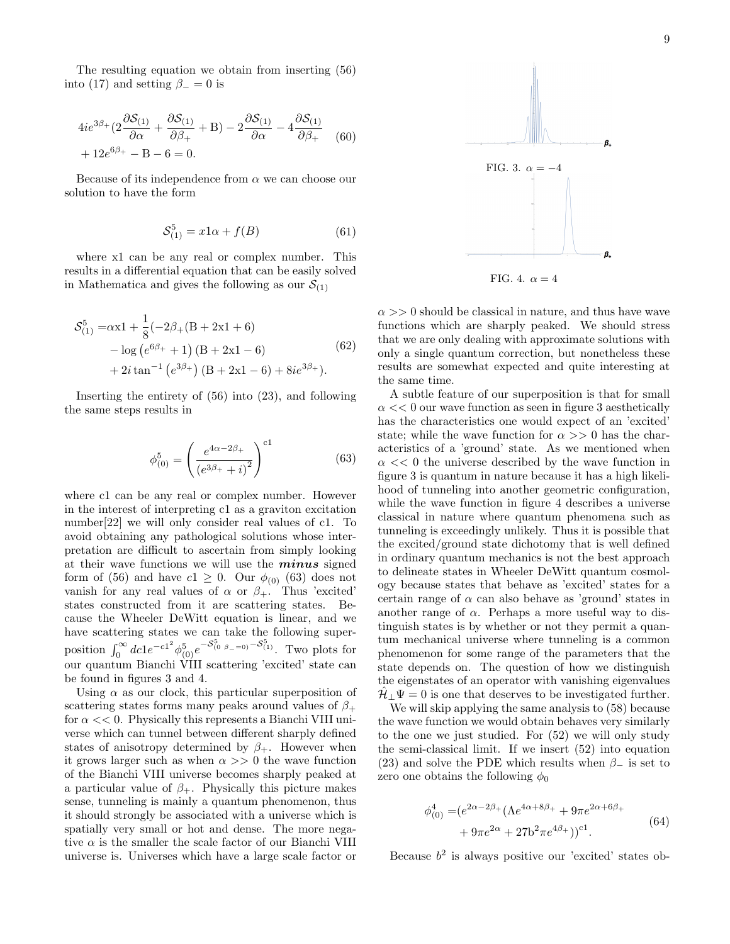The resulting equation we obtain from inserting (56) into (17) and setting  $\beta_-=0$  is

$$
4ie^{3\beta_{+}}(2\frac{\partial S_{(1)}}{\partial \alpha} + \frac{\partial S_{(1)}}{\partial \beta_{+}} + B) - 2\frac{\partial S_{(1)}}{\partial \alpha} - 4\frac{\partial S_{(1)}}{\partial \beta_{+}} \quad (60)
$$

$$
+ 12e^{6\beta_{+}} - B - 6 = 0.
$$

Because of its independence from  $\alpha$  we can choose our solution to have the form

$$
\mathcal{S}_{(1)}^5 = x1\alpha + f(B) \tag{61}
$$

where x1 can be any real or complex number. This results in a differential equation that can be easily solved in Mathematica and gives the following as our  $\mathcal{S}_{(1)}$ 

$$
S_{(1)}^{5} = \alpha x 1 + \frac{1}{8} (-2\beta_{+} (B + 2x1 + 6)
$$
  
- log (e<sup>6\beta\_{+} + 1) (B + 2x1 - 6)   
+ 2i tan<sup>-1</sup> (e<sup>3\beta\_{+}</sup>) (B + 2x1 - 6) + 8i e<sup>3\beta\_{+}</sup>). (62)</sup>

Inserting the entirety of (56) into (23), and following the same steps results in

$$
\phi_{(0)}^5 = \left(\frac{e^{4\alpha - 2\beta_+}}{(e^{3\beta_+} + i)^2}\right)^{c1}
$$
\n(63)

where c1 can be any real or complex number. However in the interest of interpreting c1 as a graviton excitation number[22] we will only consider real values of c1. To avoid obtaining any pathological solutions whose interpretation are difficult to ascertain from simply looking at their wave functions we will use the  $minus$  signed form of (56) and have  $c1 \geq 0$ . Our  $\phi_{(0)}$  (63) does not vanish for any real values of  $\alpha$  or  $\beta_+$ . Thus 'excited' states constructed from it are scattering states. Because the Wheeler DeWitt equation is linear, and we have scattering states we can take the following superposition  $\int_0^\infty dc1e^{-c1^2}\phi_{(0)}^5e^{-S_{(0,\beta_+-=0)}^5-S_{(1)}^5}$ . Two plots for our quantum Bianchi VIII scattering 'excited' state can be found in figures 3 and 4.

Using  $\alpha$  as our clock, this particular superposition of scattering states forms many peaks around values of  $\beta_+$ for  $\alpha \ll 0$ . Physically this represents a Bianchi VIII universe which can tunnel between different sharply defined states of anisotropy determined by  $\beta_+$ . However when it grows larger such as when  $\alpha >> 0$  the wave function of the Bianchi VIII universe becomes sharply peaked at a particular value of  $\beta_+$ . Physically this picture makes sense, tunneling is mainly a quantum phenomenon, thus it should strongly be associated with a universe which is spatially very small or hot and dense. The more negative  $\alpha$  is the smaller the scale factor of our Bianchi VIII universe is. Universes which have a large scale factor or



 $\alpha >> 0$  should be classical in nature, and thus have wave functions which are sharply peaked. We should stress that we are only dealing with approximate solutions with only a single quantum correction, but nonetheless these results are somewhat expected and quite interesting at the same time.

A subtle feature of our superposition is that for small  $\alpha \ll 0$  our wave function as seen in figure 3 aesthetically has the characteristics one would expect of an 'excited' state; while the wave function for  $\alpha >> 0$  has the characteristics of a 'ground' state. As we mentioned when  $\alpha \ll 0$  the universe described by the wave function in figure 3 is quantum in nature because it has a high likelihood of tunneling into another geometric configuration, while the wave function in figure 4 describes a universe classical in nature where quantum phenomena such as tunneling is exceedingly unlikely. Thus it is possible that the excited/ground state dichotomy that is well defined in ordinary quantum mechanics is not the best approach to delineate states in Wheeler DeWitt quantum cosmology because states that behave as 'excited' states for a certain range of  $\alpha$  can also behave as 'ground' states in another range of  $\alpha$ . Perhaps a more useful way to distinguish states is by whether or not they permit a quantum mechanical universe where tunneling is a common phenomenon for some range of the parameters that the state depends on. The question of how we distinguish the eigenstates of an operator with vanishing eigenvalues  $\mathcal{H}_{\perp}\Psi=0$  is one that deserves to be investigated further.

We will skip applying the same analysis to (58) because the wave function we would obtain behaves very similarly to the one we just studied. For (52) we will only study the semi-classical limit. If we insert (52) into equation (23) and solve the PDE which results when  $\beta_-\,$  is set to zero one obtains the following  $\phi_0$ 

$$
\phi_{(0)}^4 = (e^{2\alpha - 2\beta_+} (\Lambda e^{4\alpha + 8\beta_+} + 9\pi e^{2\alpha + 6\beta_+} + 9\pi e^{2\alpha} + 27b^2 \pi e^{4\beta_+}) )^{\text{cl}}.
$$
\n(64)

Because  $b^2$  is always positive our 'excited' states ob-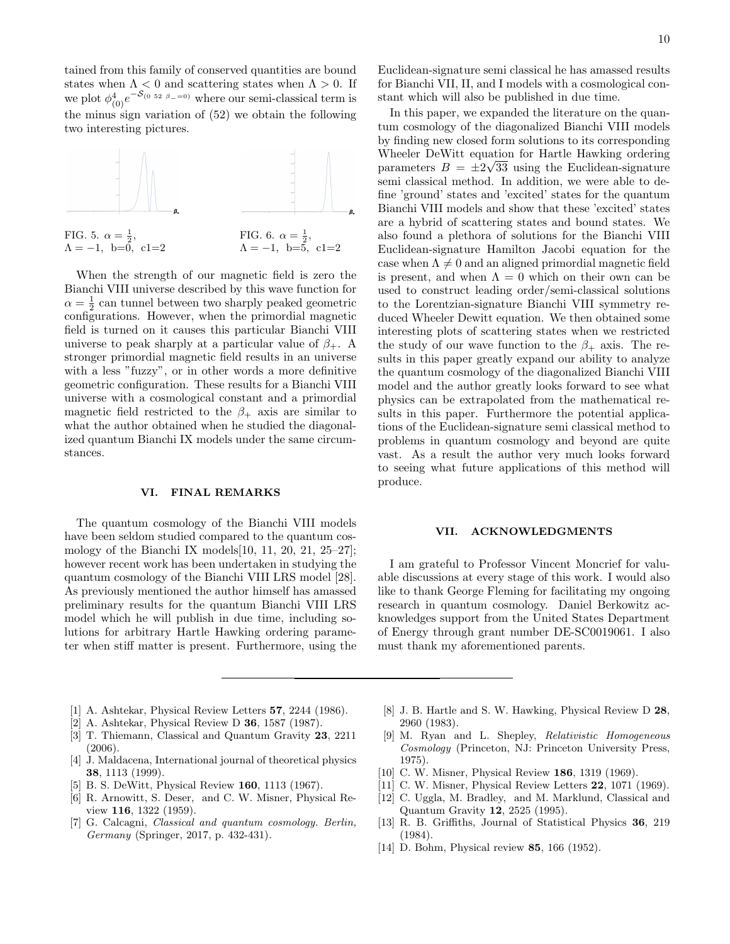tained from this family of conserved quantities are bound states when  $\Lambda < 0$  and scattering states when  $\Lambda > 0$ . If we plot  $\phi^4_{(0)}e^{-S_{(0.52 \beta=-0)}}$  where our semi-classical term is the minus sign variation of (52) we obtain the following two interesting pictures.



When the strength of our magnetic field is zero the Bianchi VIII universe described by this wave function for  $\alpha = \frac{1}{2}$  can tunnel between two sharply peaked geometric configurations. However, when the primordial magnetic field is turned on it causes this particular Bianchi VIII universe to peak sharply at a particular value of  $\beta_+$ . A stronger primordial magnetic field results in an universe with a less "fuzzy", or in other words a more definitive geometric configuration. These results for a Bianchi VIII universe with a cosmological constant and a primordial magnetic field restricted to the  $\beta_+$  axis are similar to what the author obtained when he studied the diagonalized quantum Bianchi IX models under the same circumstances.

#### VI. FINAL REMARKS

The quantum cosmology of the Bianchi VIII models have been seldom studied compared to the quantum cosmology of the Bianchi IX models[10, 11, 20, 21, 25–27]; however recent work has been undertaken in studying the quantum cosmology of the Bianchi VIII LRS model [28]. As previously mentioned the author himself has amassed preliminary results for the quantum Bianchi VIII LRS model which he will publish in due time, including solutions for arbitrary Hartle Hawking ordering parameter when stiff matter is present. Furthermore, using the Euclidean-signature semi classical he has amassed results for Bianchi VII, II, and I models with a cosmological constant which will also be published in due time.

In this paper, we expanded the literature on the quantum cosmology of the diagonalized Bianchi VIII models by finding new closed form solutions to its corresponding Wheeler DeWitt equation for Hartle Hawking ordering parameters  $B = \pm 2\sqrt{33}$  using the Euclidean-signature semi classical method. In addition, we were able to define 'ground' states and 'excited' states for the quantum Bianchi VIII models and show that these 'excited' states are a hybrid of scattering states and bound states. We also found a plethora of solutions for the Bianchi VIII Euclidean-signature Hamilton Jacobi equation for the case when  $\Lambda \neq 0$  and an aligned primordial magnetic field is present, and when  $\Lambda = 0$  which on their own can be used to construct leading order/semi-classical solutions to the Lorentzian-signature Bianchi VIII symmetry reduced Wheeler Dewitt equation. We then obtained some interesting plots of scattering states when we restricted the study of our wave function to the  $\beta_+$  axis. The results in this paper greatly expand our ability to analyze the quantum cosmology of the diagonalized Bianchi VIII model and the author greatly looks forward to see what physics can be extrapolated from the mathematical results in this paper. Furthermore the potential applications of the Euclidean-signature semi classical method to problems in quantum cosmology and beyond are quite vast. As a result the author very much looks forward to seeing what future applications of this method will produce.

## VII. ACKNOWLEDGMENTS

I am grateful to Professor Vincent Moncrief for valuable discussions at every stage of this work. I would also like to thank George Fleming for facilitating my ongoing research in quantum cosmology. Daniel Berkowitz acknowledges support from the United States Department of Energy through grant number DE-SC0019061. I also must thank my aforementioned parents.

- [1] A. Ashtekar, Physical Review Letters 57, 2244 (1986).
- [2] A. Ashtekar, Physical Review D 36, 1587 (1987).
- [3] T. Thiemann, Classical and Quantum Gravity 23, 2211 (2006).
- [4] J. Maldacena, International journal of theoretical physics 38, 1113 (1999).
- [5] B. S. DeWitt, Physical Review 160, 1113 (1967).
- [6] R. Arnowitt, S. Deser, and C. W. Misner, Physical Review 116, 1322 (1959).
- [7] G. Calcagni, *Classical and quantum cosmology*. Berlin, Germany (Springer, 2017, p. 432-431).
- [8] J. B. Hartle and S. W. Hawking, Physical Review D 28, 2960 (1983).
- [9] M. Ryan and L. Shepley, Relativistic Homogeneous Cosmology (Princeton, NJ: Princeton University Press, 1975).
- [10] C. W. Misner, Physical Review **186**, 1319 (1969).
- [11] C. W. Misner, Physical Review Letters **22**, 1071 (1969).
- [12] C. Uggla, M. Bradley, and M. Marklund, Classical and Quantum Gravity 12, 2525 (1995).
- [13] R. B. Griffiths, Journal of Statistical Physics 36, 219 (1984).
- [14] D. Bohm, Physical review **85**, 166 (1952).